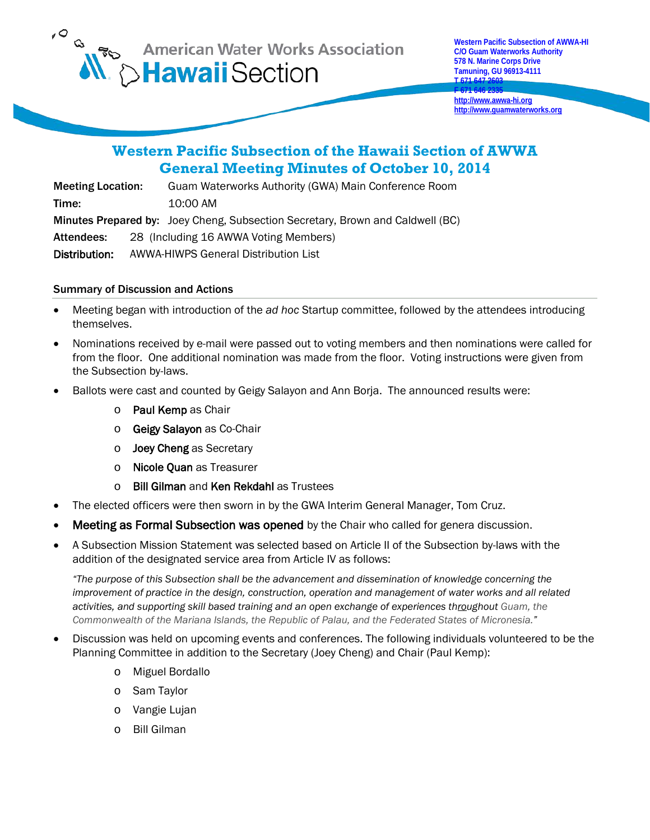

**F 671 646 2335 [http://www.awwa-hi.org](http://www.awwa-hi.org/) [http://www.guamwaterworks.org](http://www.guamwaterworks.org/)**

# **Western Pacific Subsection of the Hawaii Section of AWWA General Meeting Minutes of October 10, 2014**

Meeting Location: Guam Waterworks Authority (GWA) Main Conference Room Time: 10:00 AM Minutes Prepared by: Joey Cheng, Subsection Secretary, Brown and Caldwell (BC) Attendees: 28 (Including 16 AWWA Voting Members) Distribution: AWWA-HIWPS General Distribution List

### Summary of Discussion and Actions

- Meeting began with introduction of the *ad hoc* Startup committee, followed by the attendees introducing themselves.
- Nominations received by e-mail were passed out to voting members and then nominations were called for from the floor. One additional nomination was made from the floor. Voting instructions were given from the Subsection by-laws.
- Ballots were cast and counted by Geigy Salayon and Ann Borja. The announced results were:
	- o Paul Kemp as Chair
	- o Geigy Salayon as Co-Chair
	- o **Joey Cheng** as Secretary
	- o Nicole Quan as Treasurer
	- o Bill Gilman and Ken Rekdahl as Trustees
- The elected officers were then sworn in by the GWA Interim General Manager, Tom Cruz.
- Meeting as Formal Subsection was opened by the Chair who called for genera discussion.
- A Subsection Mission Statement was selected based on Article II of the Subsection by-laws with the addition of the designated service area from Article IV as follows:

*"The purpose of this Subsection shall be the advancement and dissemination of knowledge concerning the improvement of practice in the design, construction, operation and management of water works and all related activities, and supporting skill based training and an open exchange of experiences throughout Guam, the Commonwealth of the Mariana Islands, the Republic of Palau, and the Federated States of Micronesia."*

- Discussion was held on upcoming events and conferences. The following individuals volunteered to be the Planning Committee in addition to the Secretary (Joey Cheng) and Chair (Paul Kemp):
	- o Miguel Bordallo
	- o Sam Taylor
	- o Vangie Lujan
	- o Bill Gilman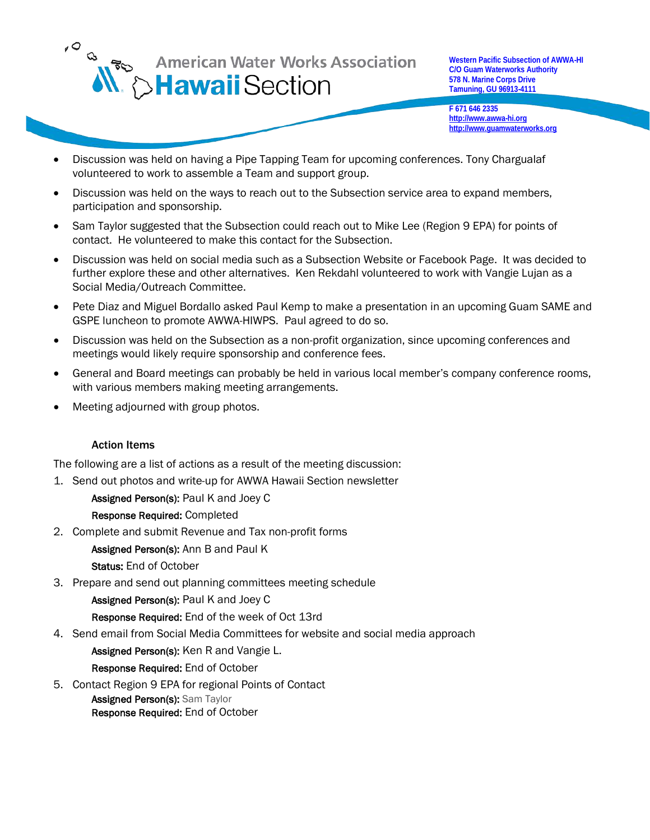

**Western Pacific Subsection of AWWA-HI C/O Guam Waterworks Authority 578 N. Marine Corps Drive Tamuning, GU 96913-4111**

**F 671 646 2335 [http://www.awwa-hi.org](http://www.awwa-hi.org/) [http://www.guamwaterworks.org](http://www.guamwaterworks.org/)**

**T 671 647 2603**

- Discussion was held on having a Pipe Tapping Team for upcoming conferences. Tony Chargualaf volunteered to work to assemble a Team and support group.
- Discussion was held on the ways to reach out to the Subsection service area to expand members, participation and sponsorship.
- Sam Taylor suggested that the Subsection could reach out to Mike Lee (Region 9 EPA) for points of contact. He volunteered to make this contact for the Subsection.
- Discussion was held on social media such as a Subsection Website or Facebook Page. It was decided to further explore these and other alternatives. Ken Rekdahl volunteered to work with Vangie Lujan as a Social Media/Outreach Committee.
- Pete Diaz and Miguel Bordallo asked Paul Kemp to make a presentation in an upcoming Guam SAME and GSPE luncheon to promote AWWA-HIWPS. Paul agreed to do so.
- Discussion was held on the Subsection as a non-profit organization, since upcoming conferences and meetings would likely require sponsorship and conference fees.
- General and Board meetings can probably be held in various local member's company conference rooms, with various members making meeting arrangements.
- Meeting adjourned with group photos.

#### Action Items

The following are a list of actions as a result of the meeting discussion:

1. Send out photos and write-up for AWWA Hawaii Section newsletter

Assigned Person(s): Paul K and Joey C

#### Response Required: Completed

2. Complete and submit Revenue and Tax non-profit forms

Assigned Person(s): Ann B and Paul K

Status: End of October

3. Prepare and send out planning committees meeting schedule

Assigned Person(s): Paul K and Joey C

Response Required: End of the week of Oct 13rd

4. Send email from Social Media Committees for website and social media approach

Assigned Person(s): Ken R and Vangie L.

Response Required: End of October

5. Contact Region 9 EPA for regional Points of Contact Assigned Person(s): Sam Taylor Response Required: End of October